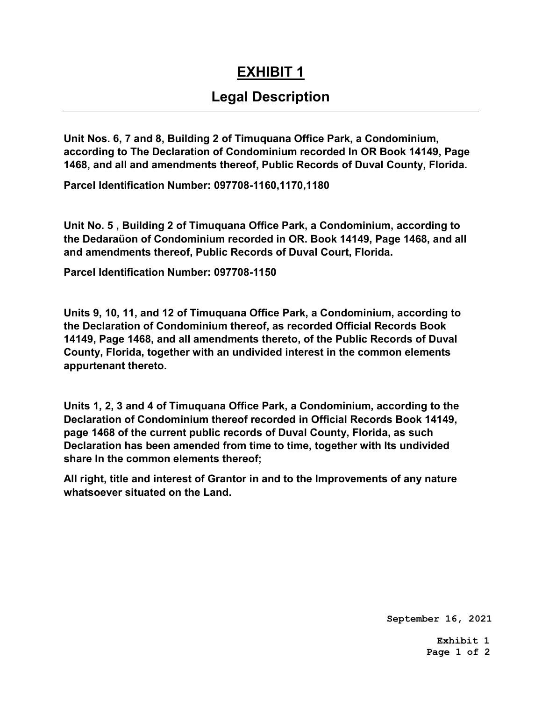## EXHIBIT 1

## Legal Description

Unit Nos. 6, 7 and 8, Building 2 of Timuquana Office Park, a Condominium, according to The Declaration of Condominium recorded In OR Book 14149, Page 1468, and all and amendments thereof, Public Records of Duval County, Florida.

Parcel Identification Number: 097708-1160,1170,1180

Unit No. 5 , Building 2 of Timuquana Office Park, a Condominium, according to the Dedaraüon of Condominium recorded in OR. Book 14149, Page 1468, and all and amendments thereof, Public Records of Duval Court, Florida.

Parcel Identification Number: 097708-1150

Units 9, 10, 11, and 12 of Timuquana Office Park, a Condominium, according to the Declaration of Condominium thereof, as recorded Official Records Book 14149, Page 1468, and all amendments thereto, of the Public Records of Duval County, Florida, together with an undivided interest in the common elements appurtenant thereto.

Units 1, 2, 3 and 4 of Timuquana Office Park, a Condominium, according to the Declaration of Condominium thereof recorded in Official Records Book 14149, page 1468 of the current public records of Duval County, Florida, as such Declaration has been amended from time to time, together with Its undivided share In the common elements thereof;

All right, title and interest of Grantor in and to the Improvements of any nature whatsoever situated on the Land.

**September 16, 2021**

**Exhibit 1 Page 1 of 2**